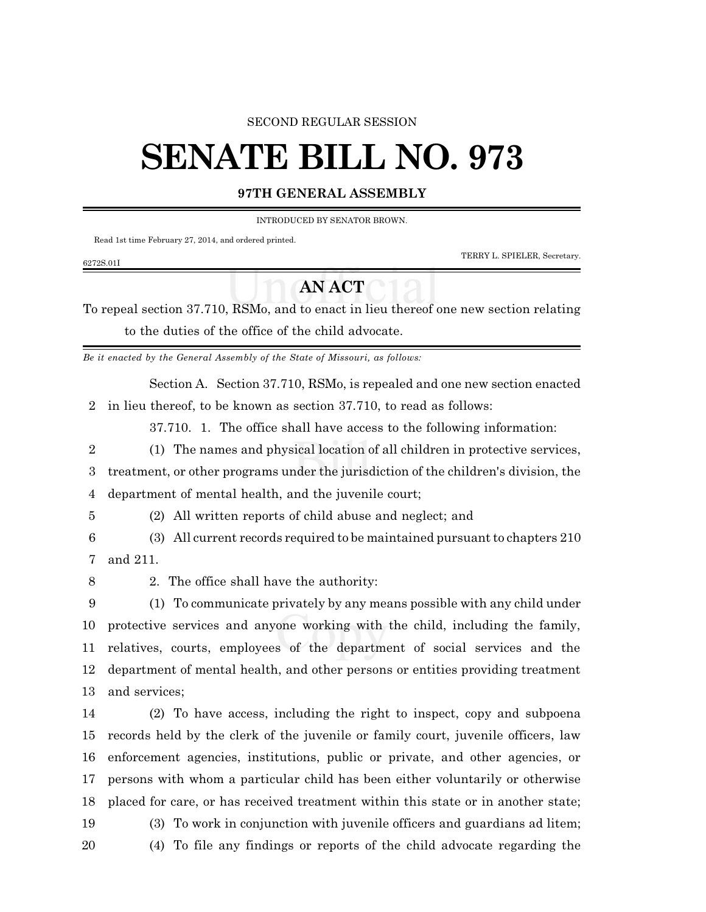## SECOND REGULAR SESSION

## **SENATE BILL NO. 973**

## **97TH GENERAL ASSEMBLY**

INTRODUCED BY SENATOR BROWN.

Read 1st time February 27, 2014, and ordered printed.

TERRY L. SPIELER, Secretary.

## **AN ACT**

To repeal section 37.710, RSMo, and to enact in lieu thereof one new section relating to the duties of the office of the child advocate.

*Be it enacted by the General Assembly of the State of Missouri, as follows:*

Section A. Section 37.710, RSMo, is repealed and one new section enacted in lieu thereof, to be known as section 37.710, to read as follows:

37.710. 1. The office shall have access to the following information:

(1) The names and physical location of all children in protective services,

treatment, or other programs under the jurisdiction of the children's division, the

department of mental health, and the juvenile court;

6272S.01I

(2) All written reports of child abuse and neglect; and

 (3) All current records required to be maintained pursuant to chapters 210 and 211.

2. The office shall have the authority:

 (1) To communicate privately by any means possible with any child under protective services and anyone working with the child, including the family, relatives, courts, employees of the department of social services and the department of mental health, and other persons or entities providing treatment and services;

 (2) To have access, including the right to inspect, copy and subpoena records held by the clerk of the juvenile or family court, juvenile officers, law enforcement agencies, institutions, public or private, and other agencies, or persons with whom a particular child has been either voluntarily or otherwise placed for care, or has received treatment within this state or in another state;

(3) To work in conjunction with juvenile officers and guardians ad litem;

(4) To file any findings or reports of the child advocate regarding the